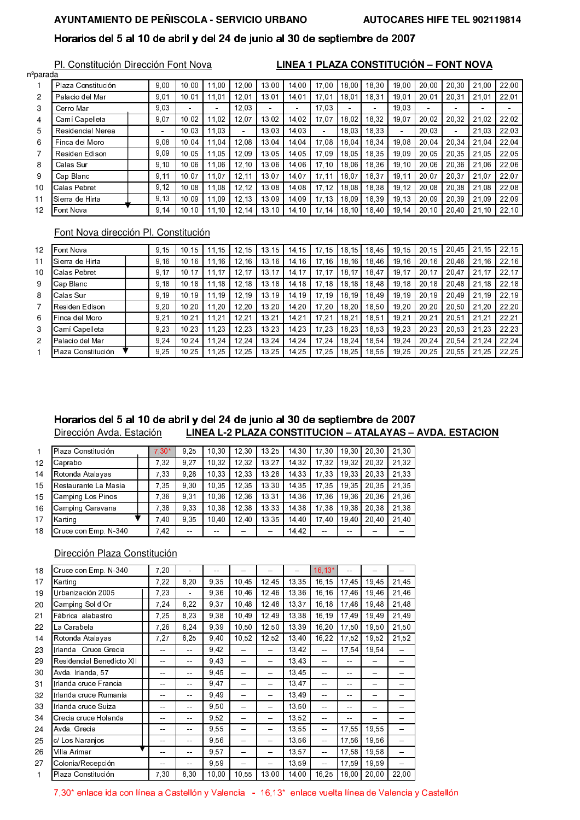# AYUNTAMIENTO DE PEÑISCOLA - SERVICIO URBANO

# Horarios del 5 al 10 de abril y del 24 de junio al 30 de septiembre de 2007

Pl. Constitución Dirección Font Nova

LINEA 1 PLAZA CONSTITUCIÓN - FONT NOVA

| n <sup>o</sup> parada |                    |        |                |                |        |                |                          |       |                |        |        |        |                |        |                |
|-----------------------|--------------------|--------|----------------|----------------|--------|----------------|--------------------------|-------|----------------|--------|--------|--------|----------------|--------|----------------|
|                       | Plaza Constitución | 9,00   | 10.00          | 11.00          | 12,00  | 13,00          | 14,00                    | 17.00 | 18.00          | 18.30  | 19,00  | 20.00  | 20.30          | 21.00  | 22,00          |
| 2                     | Palacio del Mar    | 9,01   | 10.01          | 11.01          | 12.01  | 13.01          | 14.01                    | 17.01 | 18.01          | 18.31  | 19.01  | 20.01  | 20.31          | 21.01  | 22,01          |
| 3                     | Cerro Mar          | 9,03   | $\blacksquare$ | $\blacksquare$ | 12,03  | $\overline{a}$ | $\overline{\phantom{0}}$ | 17.03 | $\blacksquare$ | $\sim$ | 19,03  | $\sim$ | $\blacksquare$ | $\sim$ | $\blacksquare$ |
| 4                     | Camí Capelleta     | 9,07   | 10.02          | 11.02          | 12,07  | 13,02          | 14,02                    | 17.07 | 18.02          | 18.32  | 19.07  | 20,02  | 20.32          | 21,02  | 22,02          |
| 5                     | Residencial Nerea  | $\sim$ | 10.03          | 11.03          | $\sim$ | 13.03          | 14,03                    |       | 18.03          | 18.33  | $\sim$ | 20.03  | $\sim$         | 21.03  | 22,03          |
| 6                     | Finca del Moro     | 9,08   | 10.04          | 11.04          | 12.08  | 13,04          | 14,04                    | 17.08 | 18.04          | 18.34  | 19.08  | 20.04  | 20.34          | 21.04  | 22,04          |
|                       | Residen Edison     | 9,09   | 10.05          | 11.05          | 12,09  | 13.05          | 14.05                    | 17.09 | 18.05          | 18.35  | 19.09  | 20,05  | 20.35          | 21.05  | 22,05          |
| 8                     | Calas Sur          | 9,10   | 10.06          | 11,06          | 12,10  | 13,06          | 14.06                    | 17,10 | 18,06          | 18.36  | 19.10  | 20.06  | 20.36          | 21,06  | 22,06          |
| 9                     | Cap Blanc          | 9,11   | 10,07          | 11,07          | 12,11  | 13,07          | 14,07                    | 17.11 | 18,07          | 18,37  | 19,1'  | 20,07  | 20,37          | 21,07  | 22,07          |
| 10                    | Calas Pebret       | 9,12   | 10.08          | 11.08          | 12,12  | 13.08          | 14.08                    | 17.12 | 18.08          | 18.38  | 19.12  | 20.08  | 20.38          | 21.08  | 22,08          |
| 11                    | Sierra de Hirta    | 9.13   | 10.09          | 11.09          | 12,13  | 13,09          | 14.09                    | 17,13 | 18.09          | 18.39  | 19.13  | 20.09  | 20.39          | 21,09  | 22,09          |
| 12                    | Font Nova          | 9,14   | 10.10          | 11.10          | 12.14  | 13.10          | 14.10                    | 17.14 | 18.10          | 18.40  | 19.14  | 20.10  | 20.40          | 21.10  | 22,10          |

# Font Nova dirección Pl. Constitución

| 12             | Font Nova          | 9.15 | 10.15 | 1.15 | 12.15 | 13.15 | 14.15 | 17.15 | 18.15 | 18.45 | 19.15 | 20.15 | 20.45 | 21.15 | 22.15 |
|----------------|--------------------|------|-------|------|-------|-------|-------|-------|-------|-------|-------|-------|-------|-------|-------|
| 11             | Sierra de Hirta    | 9.16 | 10.16 | 1.16 | 12.16 | 13.16 | 14,16 | 17.16 | 18.16 | 18.46 | 19.16 | 20.16 | 20.46 | 21.16 | 22,16 |
| 10             | Calas Pebret       | 9.17 | 10.17 | 1.17 | 12.17 | 13,17 | 14.17 | 17.17 | 18.17 | 18.47 | 19.17 | 20.17 | 20.47 | 21.17 | 22,17 |
| 9              | Cap Blanc          | 9,18 | 10.18 | 1.18 | 12,18 | 13,18 | 14.18 | 17.18 | 18.18 | 18.48 | 19.18 | 20,18 | 20.48 | 21.18 | 22,18 |
| 8              | Calas Sur          | 9.19 | 10.19 | 1.19 | 12.19 | 13.19 | 14.19 | 17.19 | 18.19 | 18.49 | 19.19 | 20.19 | 20.49 | 21.19 | 22,19 |
| 7              | Residen Edison     | 9,20 | 10.20 | 1,20 | 12,20 | 13,20 | 14.20 | 17.20 | 18,20 | 18.50 | 19.20 | 20,20 | 20.50 | 21,20 | 22,20 |
| 6              | l Finca del Moro   | 9,21 | 10.21 | 1,21 | 12,21 | 13,21 | 14.21 | 17.21 | 18.21 | 18.51 | 19.21 | 20,21 | 20.51 | 21,21 | 22,21 |
| 3              | Camí Capelleta     | 9.23 | 10.23 | 1,23 | 12,23 | 13,23 | 14,23 | 17.23 | 18,23 | 18.53 | 19.23 | 20,23 | 20.53 | 21,23 | 22,23 |
| $\overline{c}$ | Palacio del Mar    | 9.24 | 10.24 | 1.24 | 12,24 | 13,24 | 14.24 | 17.24 | 18.24 | 18.54 | 19.24 | 20.24 | 20.54 | 21.24 | 22,24 |
|                | Plaza Constitución | 9.25 | 10.25 | 1.25 | 12.25 | 13.25 | 14.25 | 17.25 | 18.25 | 18.55 | 19.25 | 20.25 | 20.55 | 21.25 | 22,25 |

#### Horarios del 5 al 10 de abril y del 24 de junio al 30 de septiembre de 2007 LINEA L-2 PLAZA CONSTITUCIÓN - ATALAYAS - AVDA. ESTACIÓN Dirección Avda. Estación

| $\mathbf{1}$ | Plaza Constitución   | $7.30*$ | 9.25          | 10.30 | 12.30 | 13.25         | 14.30 | 17.30 | 19.30 | 20.30 | 21.30 |
|--------------|----------------------|---------|---------------|-------|-------|---------------|-------|-------|-------|-------|-------|
| 12           | Caprabo              | 7.32    | 9.27          | 10.32 | 12.32 | 13.27         | 14.32 | 17,32 | 19,32 | 20.32 | 21.32 |
| 14           | Rotonda Atalayas     | 7.33    | 9.28          | 10.33 | 12.33 | 13.28         | 14.33 | 17.33 | 19.33 | 20.33 | 21.33 |
| 15           | Restaurante La Masía | 7.35    | 9.30          | 10.35 | 12.35 | 13.30         | 14.35 | 17.35 | 19.35 | 20.35 | 21.35 |
| 15           | Camping Los Pinos    | 7.36    | 9.31          | 10.36 | 12.36 | 13.31         | 14.36 | 17.36 | 19.36 | 20.36 | 21.36 |
| 16           | Camping Caravana     | 7.38    | 9.33          | 10.38 | 12.38 | 13.33         | 14.38 | 17.38 | 19.38 | 20.38 | 21.38 |
| 17           | Karting              | 7.40    | 9.35          | 10.40 | 12.40 | 13.35         | 14.40 | 17.40 | 19.40 | 20.40 | 21.40 |
| 18           | Cruce con Emp. N-340 | 7.42    | $\sim$ $\sim$ | --    | $- -$ | $\sim$ $\sim$ | 14.42 | $- -$ | --    | --    |       |

#### Dirección Plaza Constitución

| 18 | Cruce con Emp. N-340      | 7,20 |       | --    |       | --    | --    | $16, 13*$ | --     | --    |       |
|----|---------------------------|------|-------|-------|-------|-------|-------|-----------|--------|-------|-------|
| 17 | Karting                   | 7,22 | 8,20  | 9,35  | 10,45 | 12.45 | 13,35 | 16,15     | 17.45  | 19,45 | 21,45 |
| 19 | Urbanización 2005         | 7,23 | ä,    | 9,36  | 10,46 | 12.46 | 13,36 | 16,16     | 17,46  | 19,46 | 21,46 |
| 20 | Camping Sol d'Or          | 7,24 | 8,22  | 9,37  | 10,48 | 12,48 | 13,37 | 16,18     | 17.48  | 19,48 | 21,48 |
| 21 | Fábrica alabastro         | 7,25 | 8,23  | 9,38  | 10.49 | 12.49 | 13,38 | 16,19     | 17.49  | 19,49 | 21,49 |
| 22 | La Carabela               | 7,26 | 8,24  | 9,39  | 10,50 | 12,50 | 13,39 | 16,20     | 17,50  | 19,50 | 21,50 |
| 14 | Rotonda Atalayas          | 7,27 | 8,25  | 9,40  | 10,52 | 12,52 | 13,40 | 16,22     | 17,52  | 19,52 | 21,52 |
| 23 | Irlanda Cruce Grecia      | --   | $-$   | 9,42  | $-$   | --    | 13,42 |           | 17,54  | 19,54 | $-$   |
| 29 | Residencial Benedicto XII | --   | $-$   | 9.43  | $-$   | --    | 13.43 |           | --     | --    | $-$   |
| 30 | Avda Irlanda, 57          | --   | $- -$ | 9,45  | $-$   | --    | 13.45 | $-$       | $\sim$ | --    |       |
| 31 | Irlanda cruce Francia     | --   | $- -$ | 9.47  | $-$   | --    | 13.47 |           | $\sim$ | --    | --    |
| 32 | Irlanda cruce Rumania     | --   | $- -$ | 9,49  | $-$   | --    | 13.49 | $-$       | $\sim$ | --    | --    |
| 33 | Irlanda cruce Suiza       | --   | $- -$ | 9,50  | $-$   | --    | 13,50 | $-$       | $\sim$ | --    | --    |
| 34 | Crecia cruce Holanda      | --   | $-$   | 9,52  | $-$   | --    | 13,52 |           | --     |       |       |
| 24 | Avda Grecia               | --   | $-$   | 9,55  | $-$   | --    | 13,55 | --        | 17,55  | 19,55 | $-$   |
| 25 | c/ Los Naranjos           | --   | $-$   | 9,56  | $-$   | --    | 13,56 | $-$       | 17,56  | 19,56 | $-$   |
| 26 | Villa Arimar              | --   | $-$   | 9,57  | $- -$ | --    | 13,57 | $-$       | 17,58  | 19,58 | $-$   |
| 27 | Colonia/Recepción         | --   | $-$   | 9,59  | $-$   | --    | 13,59 |           | 17,59  | 19,59 | $-$   |
| 1  | Plaza Constitución        | 7,30 | 8,30  | 10,00 | 10.55 | 13,00 | 14,00 | 16,25     | 18,00  | 20,00 | 22,00 |